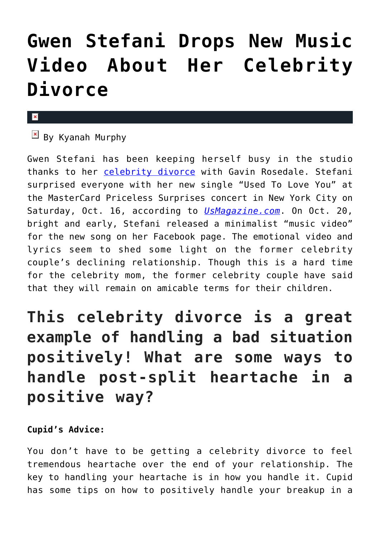## **[Gwen Stefani Drops New Music](https://cupidspulse.com/100759/gwen-stefani-new-music-video-about-celebrity-divorce/) [Video About Her Celebrity](https://cupidspulse.com/100759/gwen-stefani-new-music-video-about-celebrity-divorce/) [Divorce](https://cupidspulse.com/100759/gwen-stefani-new-music-video-about-celebrity-divorce/)**

## $\mathbf x$

 $\overline{B}$  By Kyanah Murphy

Gwen Stefani has been keeping herself busy in the studio thanks to her [celebrity divorce](http://cupidspulse.com/celebrity-relationships/break-up-divorce/) with Gavin Rosedale. Stefani surprised everyone with her new single "Used To Love You" at the MasterCard Priceless Surprises concert in New York City on Saturday, Oct. 16, according to *[UsMagazine.com](http://www.usmagazine.com/celebrity-news/news/gwen-stefani-debuts-single-used-to-love-you-about-gavin-rossdale-20151810)*. On Oct. 20, bright and early, Stefani released a minimalist "music video" for the new song on her Facebook page. The emotional video and lyrics seem to shed some light on the former celebrity couple's declining relationship. Though this is a hard time for the celebrity mom, the former celebrity couple have said that they will remain on amicable terms for their children.

## **This celebrity divorce is a great example of handling a bad situation positively! What are some ways to handle post-split heartache in a positive way?**

## **Cupid's Advice:**

You don't have to be getting a celebrity divorce to feel tremendous heartache over the end of your relationship. The key to handling your heartache is in how you handle it. Cupid has some tips on how to positively handle your breakup in a